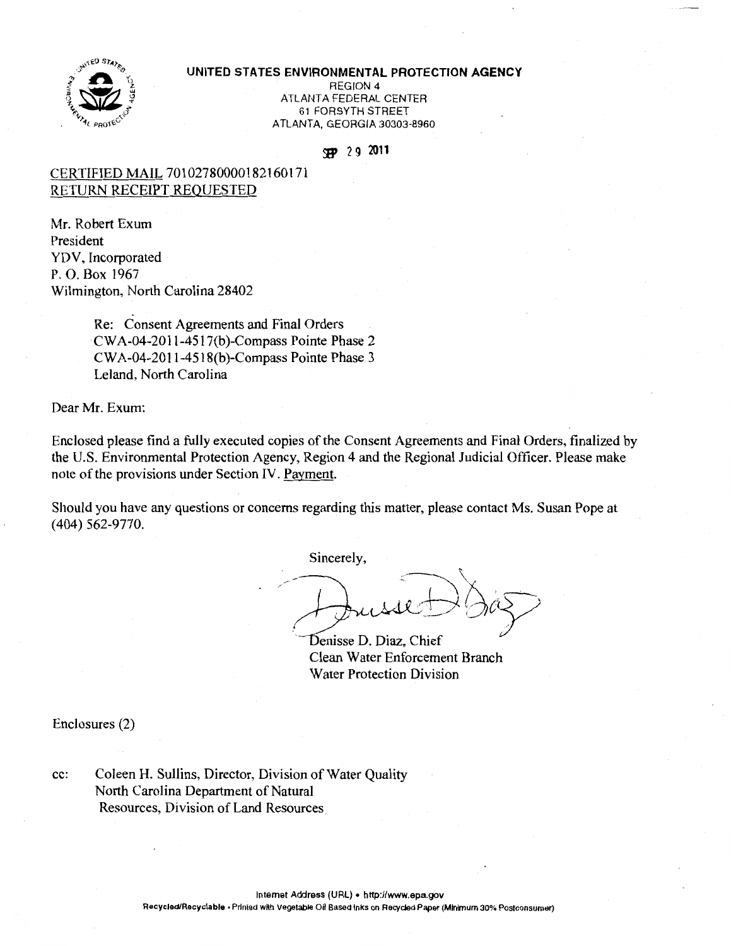

### **UNITED STATES ENVIRONMENTAL PROTECTION AGENCY**

REGION 4 ATLANTA FEDERAL CENTER 61 FORSYTH STREET ATLANTA, GEORGIA 30303-8960

## **if'** 2 9 **<sup>2011</sup>**

# CERTIFIED MAIL 70102780000182160171 RETURN RECEIPT REQUESTED

Mr. Robert Exum President YDV, Incorporated P. 0. Box 1967 Wilmington, North Carolina 28402

> Re: Consent Agreements and Final Orders CWA-04-2011-4517(b)-Compass Pointe Phase 2 CWA-04-2011-4518(b)-Compass Pointe Phase 3 Leland, North Carolina

Dear Mr. Exum:

Enclosed please find a fully executed copies of the Consent Agreements and Final Orders, finalized by the U.S. Environmental Protection Agency, Region 4 and the Regional Judicial Officer. Please make note of the provisions under Section IV. Payment.

Should you have any questions or concerns regarding this matter, please contact Ms. Susan Pope at ( 404) 562-9770.

Sincerely,

 $\rightarrow$  Juisse D'OIEZ

Denisse D. Diaz, Chief Clean Water Enforcement Branch Water Protection Division

Enclosures (2)

cc: Coleen H. Sullins, Director, Division of Water Quality North Carolina Department of Natural Resources, Division of Land Resources.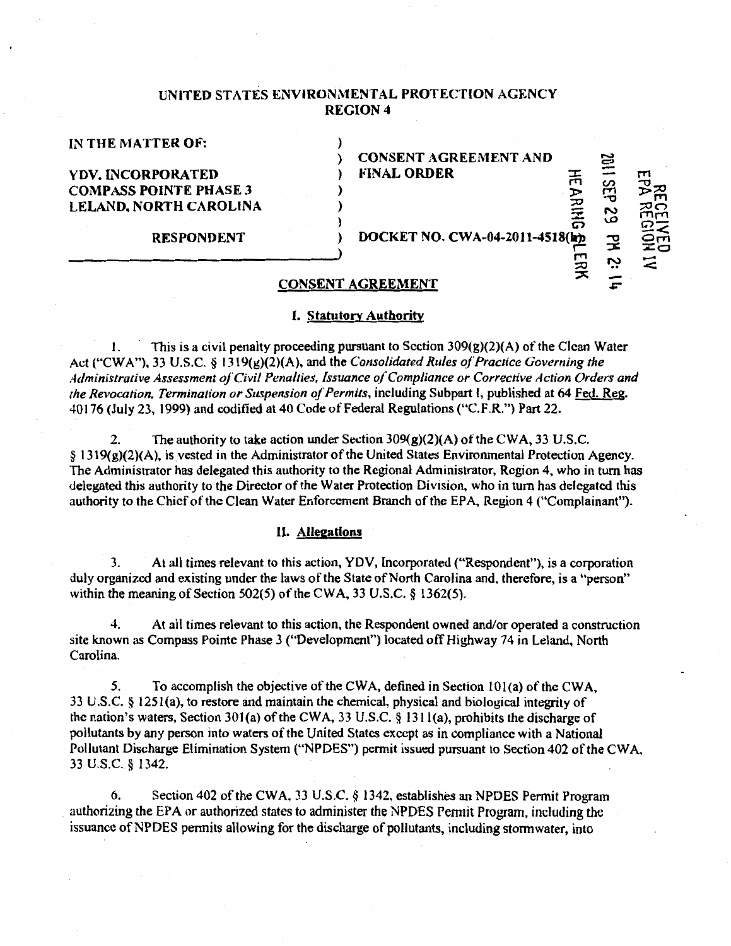# UNITED STATES ENVIRONMENTAL PROTECTION AGENCY REGION4

#### IN THE MATTER OF:

) CONSENT AGREEMENT AND c:::;) YDV. INCORPORATED ) FINAL ORDER  $\Xi \equiv \Xi$  $COMPASS POINTE PHASE 3$  )  $\sum_{i=1}^{N}$   $\frac{1}{N}$   $\frac{1}{N}$   $\frac{1}{N}$   $\frac{1}{N}$  $\vec{E}$  –  $\vec{E}$ LELAND, NORTH CAROLINA )<br>
RESPONDENT ) DOCKET NO. CWA-04-2011-4518( $\frac{1}{2}$   $\frac{3}{2}$   $\frac{2}{2}$   $\frac{2}{5}$ <u>بتا ج</u> **AI NO** 

:X

*&"* 

## CONSENT AGREEMENT

#### I. Statutory Authority

1. This is a civil penalty proceeding pursuant to Section  $309(g)(2)(A)$  of the Clean Water Act ("CWA"), 33 U.S.C. § 1319(g)(2)(A), and the *Consolidated Rules of Practice Governing the Administrative Assessment ofCivil Penalties, Issuance of Compliance or Corrective Action Orders and the Revocation. Termination or Suspension of Permits*, including Subpart I, published at 64 Fed. Reg. 40176 (July 23, 1999) and codified at 40 Code of Federal Regulations ("C.F.R.") Part 22.

2. The authority to take action under Section  $309(g)(2)(A)$  of the CWA, 33 U.S.C. § 1319(g)(2)(A ), is vested in the Administrator of the United States Environmental Protection Agency. The Administrator has delegated this authority to the Regional Administrator, Region 4, who in tum has delegated this authority to the Director of the Water Protection Division, who in turn has delegated this authority to the Chief of the Clean Water Enforcement Branch of the EPA, Region 4 ("Complainant").

## II. Allegations

3. At all times relevant to this action, YDV, Incorporated ("Respondent"), is a corporation duly organized and existing under the laws of the State of North Carolina and, therefore, is a "person" within the meaning of Section 502(5) of the CWA, 33 U.S.C. § 1362(5).

4. At all times relevant to this action, the Respondent owned and/or operated a construction site known as Compass Pointe Phase 3 ("Development") located off Highway 74 in Leland, North Carolina.

*5.* To accomplish the objective of the CWA, defined in Section lOl(a) of the CWA, 33 U.S.C. § 125l(a), to restore and maintain the chemical, physical and biological integrity of the nation's waters, Section 301(a) of the CWA, 33 U.S.C. § 1311(a), prohibits the discharge of pollutants by any person into waters of the United States except as in compliance with a National Pollutant Discharge Elimination System {"NPDES") permit issued pursuant to Section 402 of the CWA. 33 u.s.c. § 1342.

6. Section 402 of the CWA, 33 U.S.C.  $\S$  1342, establishes an NPDES Permit Program authorizing the EPA or authorized states to administer the NPDES Pennit Program, including the issuance of NPDES permits allowing for the discharge of pollutants, including stormwater, into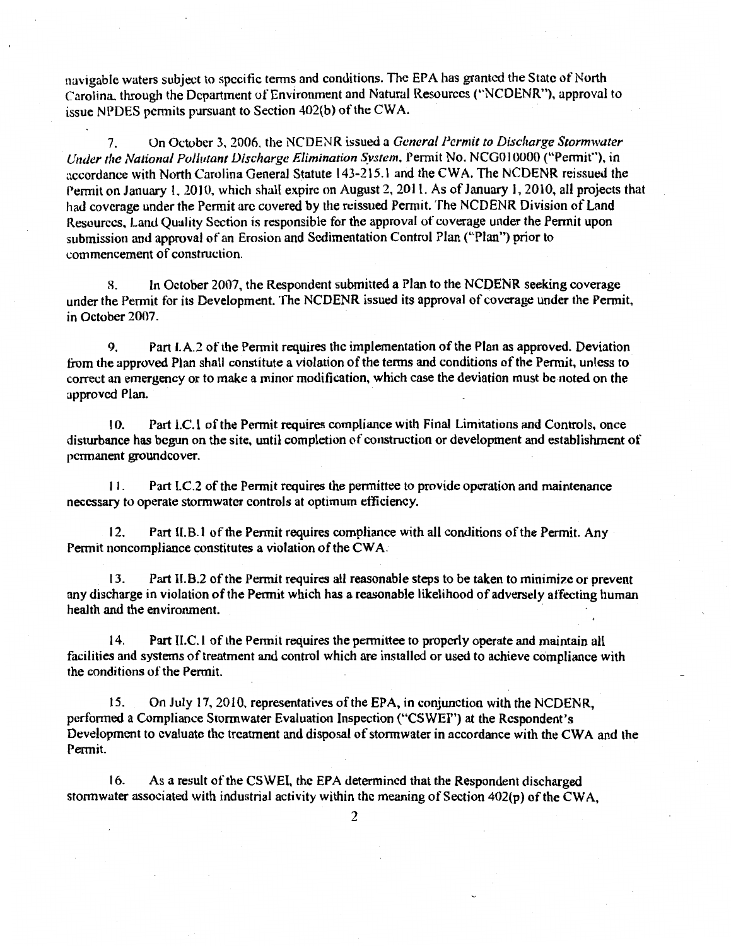navigable waters subject to spccitic terms and conditions. The EPA has granted the State of North Carolina. through the Department of Environment and Natural Resources ("NCDENR"), approval to issue NPDES permits pursuant to Section 402(b) of the CWA.

7. On October 3, 2006, the NCDENR issued a *General Permit to Discharge Storm·water Under the National Pollutant Discharge Elimination System,* Permit No. NCG010000 ("Permit"), in accordance with North Carolina General Statute 143-215.1 and the CWA. The NCDENR reissued the Permit on January I, 2010, which shall expire on August 2, 201 I. As of January l, 2010, all projects that had coverage under the Permit arc covered by the reissued Permit. The NCDENR Division of Land Resources. Land Quality Section is responsible for the approval of coverage under the Permit upon submission and approval of an Erosion and Sedimentation Control Plan ("Plan") prior to commencement of construction.

8. In October 2007, the Respondent submitted a Plan to the NCDENR seeking coverage under the Permit for its Development. The NCDENR issued its approval of coverage under the Permit, in October 2007.

9. Part I.A.2 of the Permit requires the implementation of the Plan as approved. Deviation from the approved Plan shall constitute a violation of the terms and conditions of the Permit, unless to correct an emergency or to make a minor modification, which case the deviation must be noted on the approved Plan.

10. Part LC.l of the Permit requires compliance with Final Limitations and Controls, once disturbance *has* begun on the site, until completion of construction or development and establishment of permanent groundcover.

11. Part I.C.2 of the Permit requires the permittee to provide operation and maintenance necessary to operate stormwater controls at optimum efficiency.

12. Part II.B.1 of the Permit requires compliance with all conditions of the Permit. Any Permit noncompliance constitutes a violation of the CW A.

13. Part 11.8.2 of the Permit requires all reasonable steps to be taken to minimize or prevent any discharge in violation of the Permit which *has* a reasonable likelihood of adversely affecting human health and the environment.

14. Part II.C.l of the Permit requires the permittee to properly operate and maintain all facilities and systems of treatment and control which are installed or used to achieve compliance with the conditions of the Permit.

15. On July 17, 2010, representatives of the EPA, in conjunction with the NCDENR, performed a Compliance Stormwater Evaluation Inspection ("CSWEI") at the Respondent's Development to evaluate the treatment and disposal of storm water in accordance with the CWA and the Permit.

16. As a result of the CSWEI, the EPA determined that the Respondent discharged stormwater associated with industrial activity within the meaning of Section 402(p) of the CWA,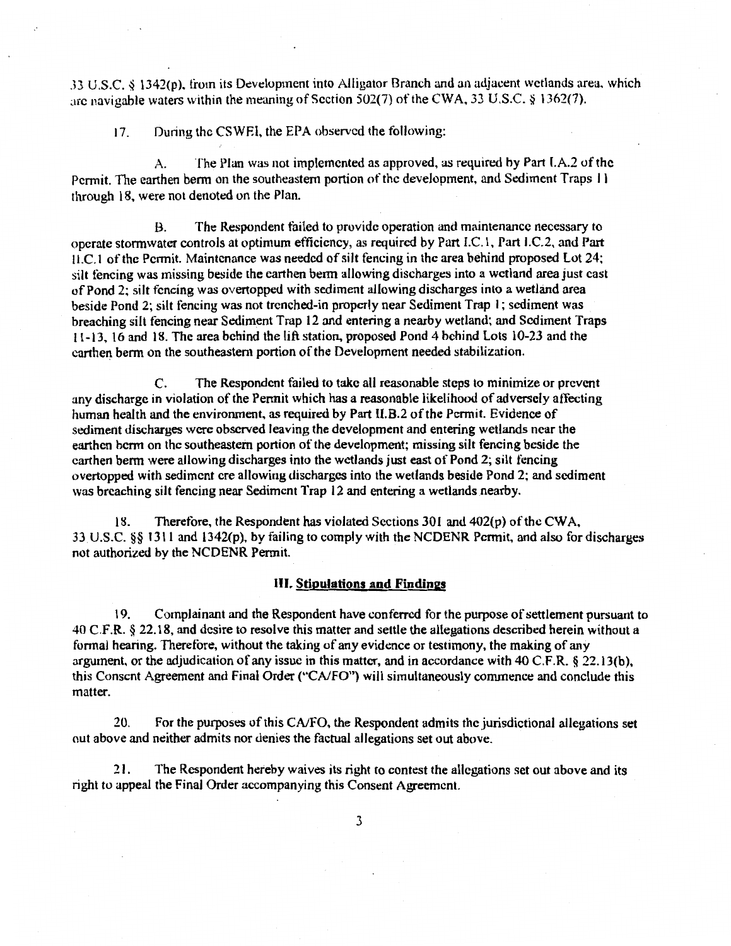J3 U.S.C. ~ l342(p). trom its Development into Alligator Branch and an adjacent wetlands area, which arc navigable waters within the meaning of Section 502(7) of the CWA, 33 U.S.C. § 1362(7).

17. During the CSWEI, the EPA observed the following:

A. The Plan was not implemented as approved, as required by Part I.A.2 of the Permit. The earthen berm on the southeastern portion of the development, and Sediment Traps 11 through 18, were not denoted on the Plan.

B. The Respondent failed to provide operation and maintenance necessary to operate stormwater controls at optimum efficiency, as required by Part I.C.1, Part I.C.2, and Part  $\text{II.}$ C.1 of the Permit. Maintenance was needed of silt fencing in the area behind proposed Lot 24; silt tencing was missing beside the earthen berm allowing discharges into a wetland area just cast of Pond 2; silt fencing was overtopped with sediment allowing discharges into a wetland area beside Pond 2; silt fencing was not trenched-in properly near Sediment Trap I; sediment was breaching silt tencing near Sediment Trap 12 and entering a nearby wetland; and Sediment Traps 1 1-13, 16 and 18. The area behind the lift station, proposed Pond 4 behind lots 10-23 and the earthen berm on the southeastern portion of the Development needed stabilization.

C. The Respondent failed to take all reasonable steps to minimize or prevent any discharge in violation of the Permit which has a reasonable likelihood of adversely affecting human health and the environment. as required by Part 11.8.2 of the Permit. Evidence of sediment discharges were observed leaving the development and entering wetlands near the earthen berm on the southeastern portion of the development; missing silt fencing beside the earthen berm were allowing discharges into the wetlands just east of Pond 2; silt fencing overtopped with sediment ere allowing discharges into the wetlands beside Pond 2; and sediment was breaching silt fencing near Sediment Trap 12 and entering a wetlands nearby.

18. Therefore, the Respondent has violated Sections 30 l and 402(p) of the CW A, 33. U.S.C. §§ 1311 and l342(p), by failing to comply with the NCDENR Permit, and also for discharges not authorized by the NCDENR Permit.

### III. **Stipulations and Findings**

19. Complainant and the Respondent have conferred for the purpose of settlement pursuant to 40 C.F .R. § 22.18, and desire to resolve this matter and settle the allegations described herein without a formal hearing. Theretore, without the taking of any evidence or testimony, the making of any argument, or the adjudication of any issue in this matter, and in accordance with 40 C.F.R. § 22.13(b), this Consent Agreement and Final Order ("CA/FO") will simultaneously commence and conclude this matter.

20. For the purposes of this *CNFO,* the Respondent admits the jurisdictional allegations set out above and neither admits nor denies the factual allegations set out above.

21. The Respondent hereby waives its right to contest the allegations set out above and its right to appeal the Final Order accompanying this Consent Agreement.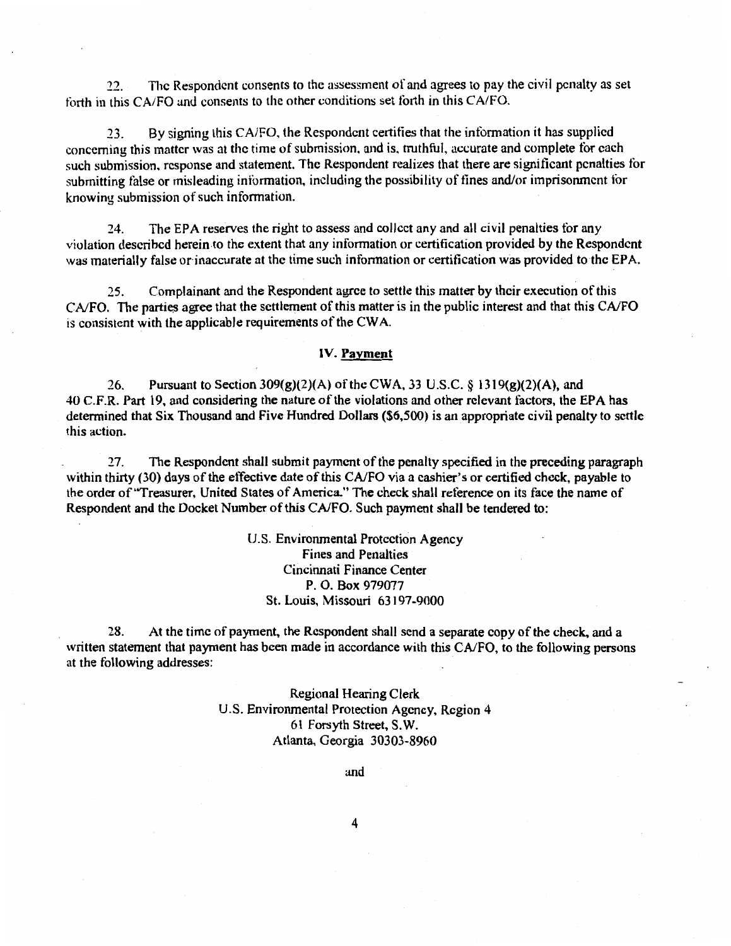22. The Respondent consents to the assessment of and agrees to pay the civil penalty as set forth in this CA/FO and consents to the other conditions set forth in this CA/FO.

23. By signing this CA/FO, the Respondent certifies that the information it has supplied concerning this matter was at the time of submission, and is, truthful, accurate and complete tor each such submission, response and statement. The Respondent realizes that there are significant penalties tor submitting false or misleading information, including the possibility of tines and/or imprisonment tor knowing submission of such information.

24. The EPA reserves the right to assess and collect any and all civil penalties tor any violation described herein to the extent that any information or certification provided by the Respondent was materially false or inaccurate at the time such information or certification was provided to the EPA.

25. Complainant and the Respondent agree to settle this matter by their execution of this CA/FO. The parties agree that the settlement of this matter is in the public interest and that this CA/FO is consistent with the applicable requirements of the CW A.

#### IV. Payment

26. Pursuant to Section 309(g)(2)(A) of the CWA, 33 U.S.C. § 1319(g)(2)(A), and 40 C.F.R. Part 19, and considering the nature of the violations and other relevant factors, the EPA has determined that Six Thousand and Five Hundred Dollars (\$6,500) is an appropriate civil penalty to settle this action.

27. The Respondent shall submit payment of the penalty specified in the preceding paragraph within thirty (30) days of the effective date of this CA/FO via a cashier's or certified check, payable to the order of "Treasurer, United States of America." The check shall reference on its face the name of Respondent and the Docket Number of this CAIFO. Such payment shall be tendered to:

> U.S. Environmental Protection Agency Fines and Penalties Cincinnati Finance Center P. 0. Box 979077 St. Louis, Missouri 63197-9000

28. At the time of payment, the Respondent shall send a separate copy of the check, and a written statement that payment has been made in accordance with this CA/FO, to the following persons at the following addresses:

> Regional Hearing Clerk U.S. Environmental Protection Agency, Region 4 61 Forsyth Street, S.W. Atlanta, Georgia 30303-8960

> > and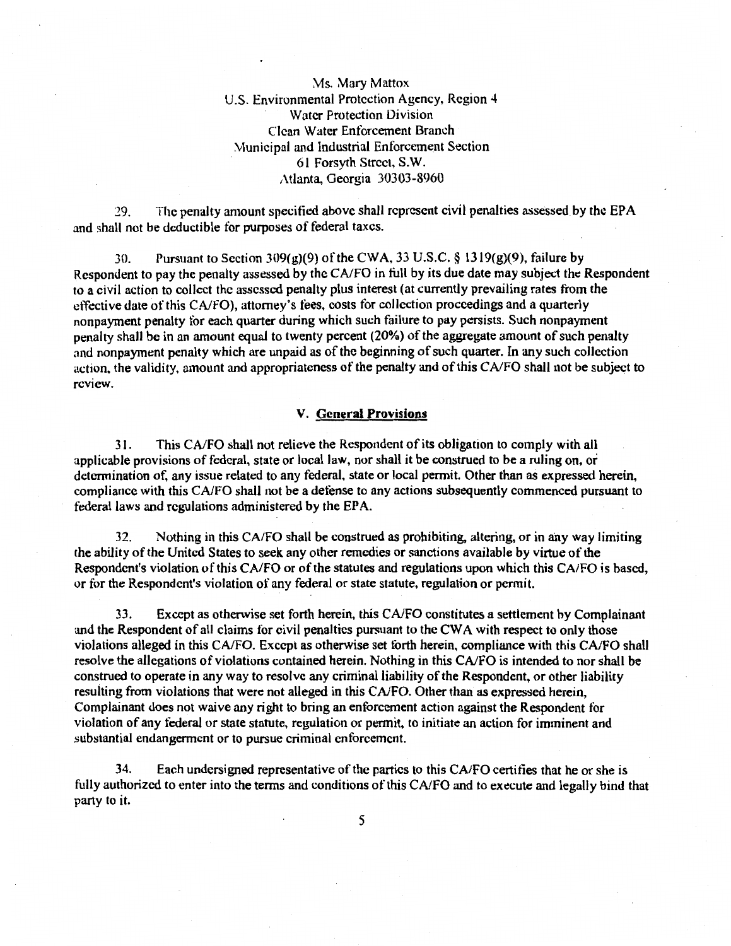\1s. Mary Mattox U.S. Environmental Protection Agency, Region 4 Water Protection Division Clean Water Entorcement Branch \-Junicipal and Industrial Enforcement Section 61 Forsyth Street, S.W. Atlanta, Georgia 30303-8960

29. The penalty amount specitied above shall represent civil penalties assessed by the EPA and shall not be deductible for purposes of federal taxes.

30. Pursuant to Section 309(g)(9) of the CWA, 33 U.S.C. § 1319(g)(9), failure by Respondent to pay the penalty assessed by the CA/FO in full by its due date may subject the Respondent to a civil action to collect the assessed penalty plus interest (at currently prevailing rates from the effective date of this CNFO), attorney's tees, costs for collection proceedings and a quarterly nonpayment penalty tor each quarter during which such failure to pay persists. Such nonpayment penalty shall be in an amount equal to twenty percent (20%) of the aggregate amount of such penalty and nonpayment penalty which are unpaid as of the beginning of such quarter. In any such collection action, the validity, amount and appropriateness of the penalty and of this CA/FO shall not be subject to review.

### V. General Provisions

31. This CNFO shall not relieve the Respondent of its obligation to comply with all applicable provisions of federal, state or local law, nor shall it be construed to be a ruling on, or determination of, any issue related to any federal, state or local permit. Other than as expressed herein, compliance with this CNFO shall not be a defense to any actions subsequently commenced pursuant to federal laws and regulations administered by the EPA.

32. Nothing in this CAIFO shall be construed as prohibiting. altering, or in any way limiting the ability of the United States to seek any other remedies or sanctions available by virtue of the Respondent's violation of this CA/FO or of the statutes and regulations upon which this CA/FO is based, or for the Respondent's violation of any federal or state statute, regulation or permit.

33. Except as otherwise set forth herein, this CNFO constitutes a settlement by Complainant and the Respondent of all claims tor civil penalties pursuant to the CWA with respect to only those violations alleged in this CA/FO. Except as otherwise set forth herein, compliance with this CA/FO shall resolve the allegations of violations contained herein. Nothing in this CA/FO is intended to nor shall be construed to operate in any way to resolve any criminal liability of the Respondent, or other liability resulting from violations that were not alleged in this CA/FO. Other than as expressed herein, Complainant does not waive any right to bring an enforcement action against the Respondent for violation of any federal or state statute, regulation or permit, to initiate an action for imminent and substantial endangerment or to pursue criminal enforcement.

34. Each undersigned representative of the parties to this CA/FO certifies that he or she is fully authorized to enter into the terms and conditions of this CA/FO and to execute and legally bind that party to it.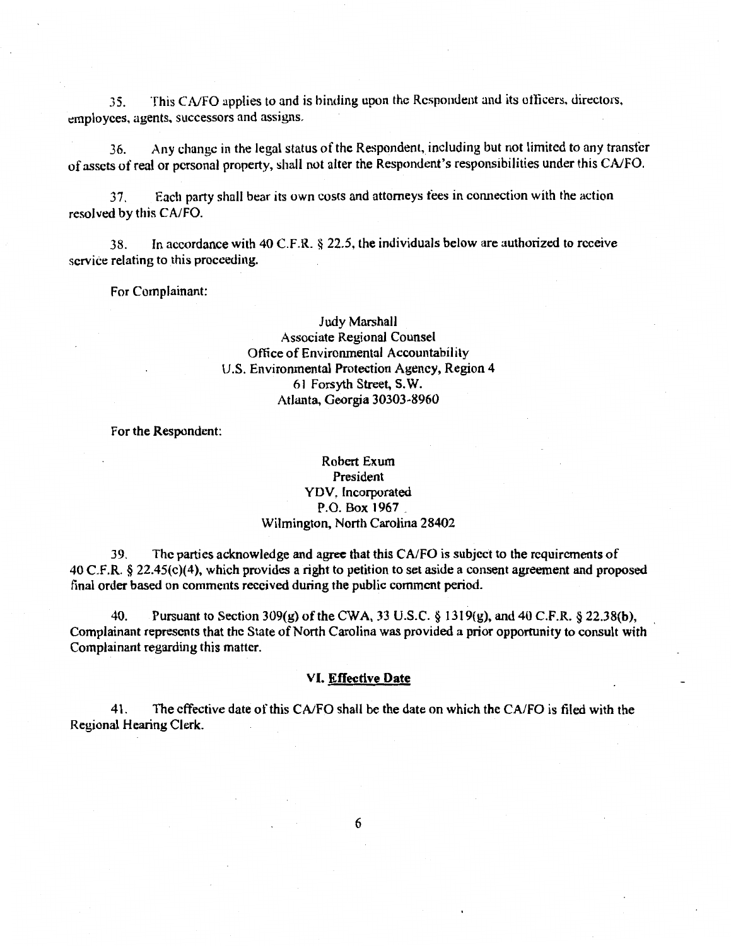35. This CNFO applies to and is binding upon the Respondent and its otlicers, directors, employces, agents, successors and assigns.

36. Any change in the legal status of the Respondent, including but not limited to any transfer of assets of real or personal property, shall not alter the Respondent's responsibilities under this CA/FO.

37. Each party shall bear its own costs and attorneys tees in connection with the action resolved by this CA/FO.

38. In accordance with 40 C.F.R. § 22.5, the individuals below are authorized to receive service relating to this proceeding.

For Complainant:

# Judy Marshall Associate Regional Counsel Office of Environmental Accountability U.S. Environmental Protection Agency, Region 4 61 Forsyth Street, S.W. Atlanta, Georgia 30303-8960

For the Respondent:

## Robert Exum President YDV, Incorporated P.O. Box 1967 . Wilmington, North Carolina 28402

39. The parties acknowledge and agree that this CA/FO is subject to the requirements of 40 C.F.R. § 22.45(c){4), which provides a right to petition to set aside a consent agreement and proposed final order based on comments received during the public comment period.

40. Pursuant to Section 309(g) of the CWA, 33 U.S.C. § 1319(g), and 40 C.F.R. § 22.38{b), Complainant represents that the State of North Carolina was provided a prior opportunity to consult with Complainant regarding this matter.

#### VI. Effective Date

41. The effective date of this CA/FO shall be the date on which the CA/FO is filed with the Regional Hearing Clerk.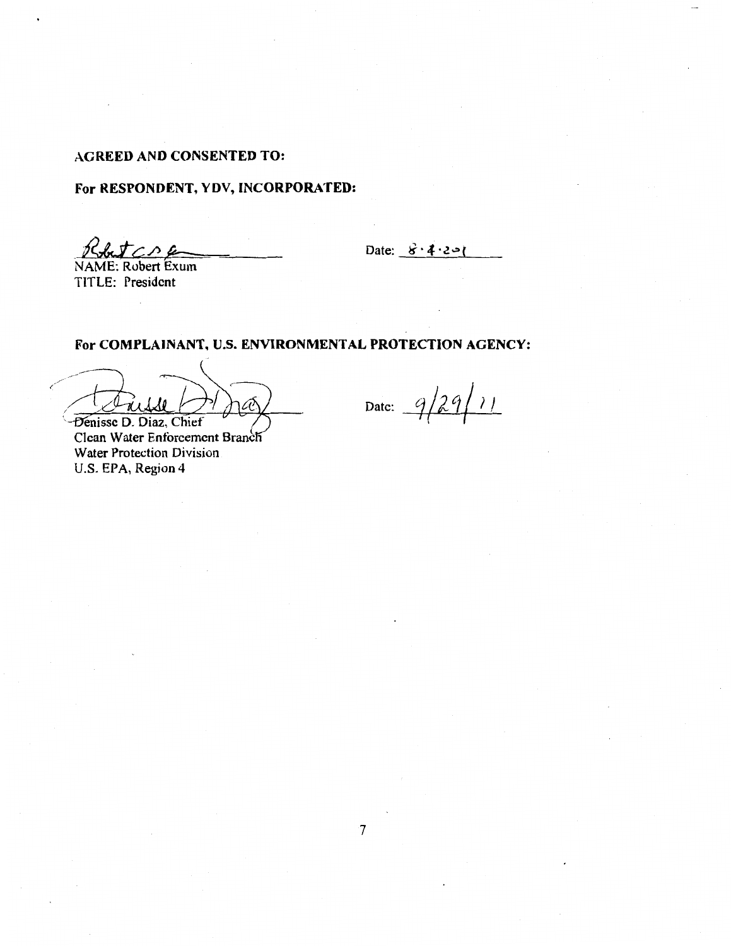# AGREED AND CONSENTED TO:

# For RESPONDENT, YDV, INCORPORATED:

 $Rf$ 

Date:  $8 \cdot 4 \cdot 2 = 1$ 

NAME: Robert Exum TITLE: President

For COMPLAINANT, U.S. ENVIRONMENTAL PROTECTION AGENCY:

ra Denisse D. Diaz, Chief

Clean Water Enforcement Branch Water Protection Division U.S. EPA, Region 4

Date:  $9/29/11$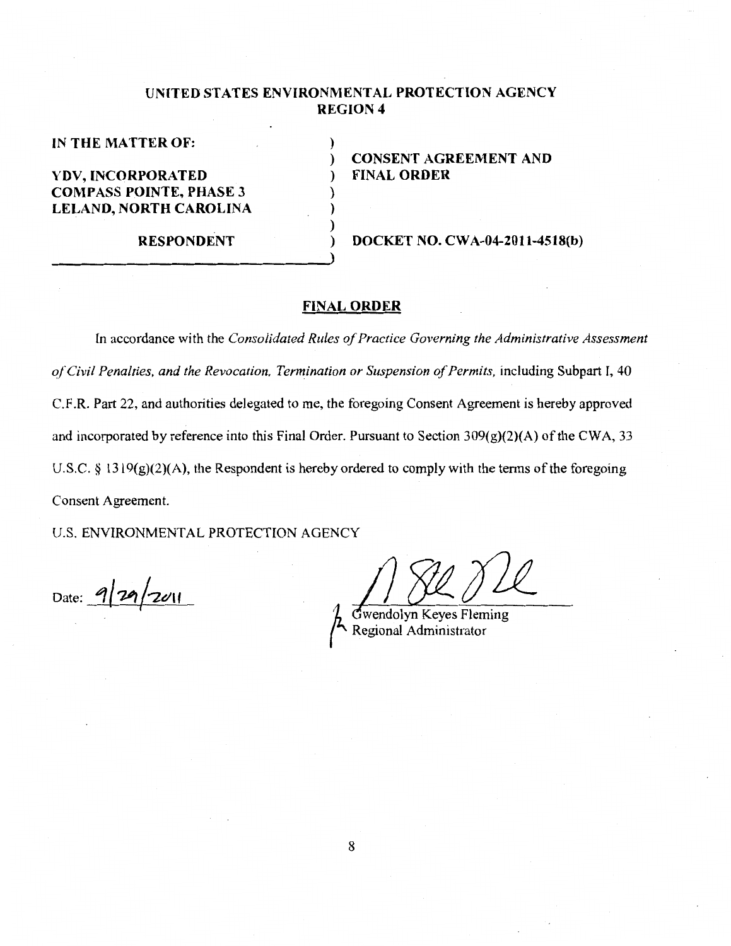# **UNITED STATES ENVIRONMENTAL PROTECTION AGENCY REGION 4**

)

) ) )

**IN THE MATTER OF:** 

**YDV, IN CORPORA TED COMPASS POINTE, PHASE 3 LELAND, NORTH CAROLINA** 

**RESPONDENT** 

) **CONSENT AGREEMENT AND**  ) **FINAL ORDER** 

) **DOCKET NO. CWA-04-2011-4518(b)** 

### **FINAL ORDER**

In accordance with the *Consolidated Rules of Practice Governing the Administrative Assessment af Civil Penalties, and the Revocation, Termination or Suspension of Permits, including Subpart I, 40* C.F.R. Part 22, and authorities delegated to me, the foregoing Consent Agreement is hereby approved and incorporated by reference into this Final Order. Pursuant to Section 309(g)(2)(A) of the CWA, 33 U.S.C. § 1319 $(g)(2)(A)$ , the Respondent is hereby ordered to comply with the terms of the foregoing Consent Agreement.

U.S. ENVIRONMENTAL PROTECTION AGENCY

 $_{\text{Date:}}$  9/29/2011

wendolyn Keyes Fleming Regional Administrator